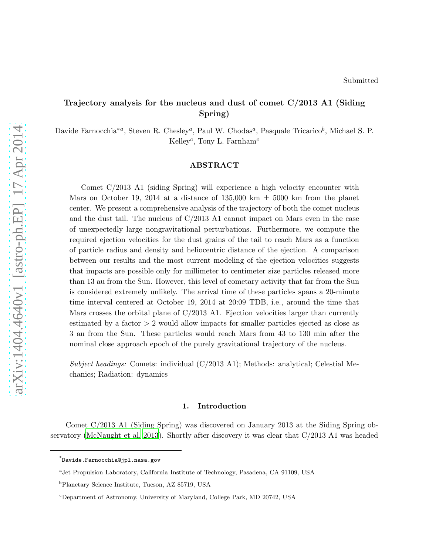# Trajectory analysis for the nucleus and dust of comet C/2013 A1 (Siding Spring)

Davide Farnocchia<sup>\*a</sup>, Steven R. Chesley<sup>a</sup>, Paul W. Chodas<sup>a</sup>, Pasquale Tricarico<sup>b</sup>, Michael S. P. Kelley<sup>c</sup>, Tony L. Farnham<sup>c</sup>

# ABSTRACT

Comet C/2013 A1 (siding Spring) will experience a high velocity encounter with Mars on October 19, 2014 at a distance of 135,000 km  $\pm$  5000 km from the planet center. We present a comprehensive analysis of the trajectory of both the comet nucleus and the dust tail. The nucleus of  $C/2013$  A1 cannot impact on Mars even in the case of unexpectedly large nongravitational perturbations. Furthermore, we compute the required ejection velocities for the dust grains of the tail to reach Mars as a function of particle radius and density and heliocentric distance of the ejection. A comparison between our results and the most current modeling of the ejection velocities suggests that impacts are possible only for millimeter to centimeter size particles released more than 13 au from the Sun. However, this level of cometary activity that far from the Sun is considered extremely unlikely. The arrival time of these particles spans a 20-minute time interval centered at October 19, 2014 at 20:09 TDB, i.e., around the time that Mars crosses the orbital plane of  $C/2013$  A1. Ejection velocities larger than currently estimated by a factor  $> 2$  would allow impacts for smaller particles ejected as close as 3 au from the Sun. These particles would reach Mars from 43 to 130 min after the nominal close approach epoch of the purely gravitational trajectory of the nucleus.

*Subject headings:* Comets: individual (C/2013 A1); Methods: analytical; Celestial Mechanics; Radiation: dynamics

#### 1. Introduction

Comet C/2013 A1 (Siding Spring) was discovered on January 2013 at the Siding Spring observatory [\(McNaught et al. 2013](#page-9-0)). Shortly after discovery it was clear that C/2013 A1 was headed

<sup>\*</sup> Davide.Farnocchia@jpl.nasa.gov

a Jet Propulsion Laboratory, California Institute of Technology, Pasadena, CA 91109, USA

<sup>b</sup>Planetary Science Institute, Tucson, AZ 85719, USA

<sup>c</sup>Department of Astronomy, University of Maryland, College Park, MD 20742, USA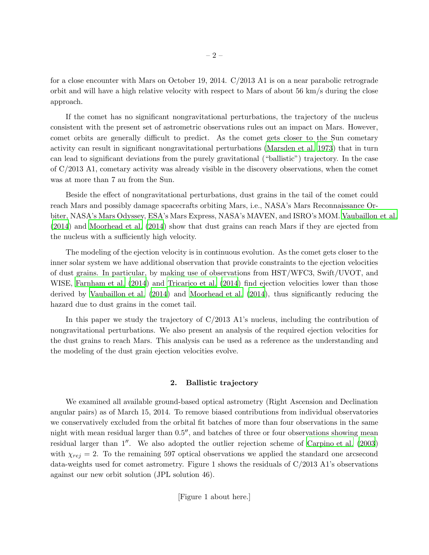for a close encounter with Mars on October 19, 2014. C/2013 A1 is on a near parabolic retrograde orbit and will have a high relative velocity with respect to Mars of about 56 km/s during the close approach.

If the comet has no significant nongravitational perturbations, the trajectory of the nucleus consistent with the present set of astrometric observations rules out an impact on Mars. However, comet orbits are generally difficult to predict. As the comet gets closer to the Sun cometary activity can result in significant nongravitational perturbations [\(Marsden et al. 1973](#page-9-1)) that in turn can lead to significant deviations from the purely gravitational ("ballistic") trajectory. In the case of C/2013 A1, cometary activity was already visible in the discovery observations, when the comet was at more than 7 au from the Sun.

Beside the effect of nongravitational perturbations, dust grains in the tail of the comet could reach Mars and possibly damage spacecrafts orbiting Mars, i.e., NASA's Mars Reconnaissance Orbiter, NASA's Mars Odyssey, ESA's Mars Express, NASA's MAVEN, and ISRO's MOM. [Vaubaillon et al.](#page-10-0) [\(2014](#page-10-0)) and [Moorhead et al. \(2014](#page-9-2)) show that dust grains can reach Mars if they are ejected from the nucleus with a sufficiently high velocity.

The modeling of the ejection velocity is in continuous evolution. As the comet gets closer to the inner solar system we have additional observation that provide constraints to the ejection velocities of dust grains. In particular, by making use of observations from HST/WFC3, Swift/UVOT, and WISE, [Farnham et al. \(2014\)](#page-9-3) and [Tricarico et al. \(2014\)](#page-10-1) find ejection velocities lower than those derived by [Vaubaillon et al. \(2014](#page-10-0)) and [Moorhead et al. \(2014](#page-9-2)), thus significantly reducing the hazard due to dust grains in the comet tail.

In this paper we study the trajectory of C/2013 A1's nucleus, including the contribution of nongravitational perturbations. We also present an analysis of the required ejection velocities for the dust grains to reach Mars. This analysis can be used as a reference as the understanding and the modeling of the dust grain ejection velocities evolve.

#### 2. Ballistic trajectory

We examined all available ground-based optical astrometry (Right Ascension and Declination angular pairs) as of March 15, 2014. To remove biased contributions from individual observatories we conservatively excluded from the orbital fit batches of more than four observations in the same night with mean residual larger than 0.5′′, and batches of three or four observations showing mean residual larger than 1′′. We also adopted the outlier rejection scheme of [Carpino et al. \(2003](#page-9-4)) with  $\chi_{rej} = 2$ . To the remaining 597 optical observations we applied the standard one arcsecond data-weights used for comet astrometry. Figure 1 shows the residuals of C/2013 A1's observations against our new orbit solution (JPL solution 46).

[Figure 1 about here.]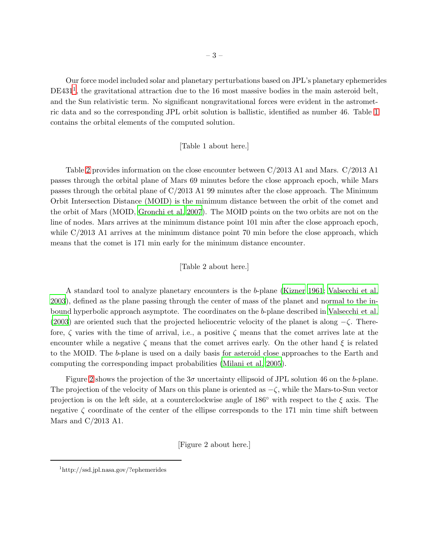Our force model included solar and planetary perturbations based on JPL's planetary ephemerides  $DE431<sup>1</sup>$  $DE431<sup>1</sup>$  $DE431<sup>1</sup>$ , the gravitational attraction due to the 16 most massive bodies in the main asteroid belt, and the Sun relativistic term. No significant nongravitational forces were evident in the astrometric data and so the corresponding JPL orbit solution is ballistic, identified as number 46. Table [1](#page-27-0) contains the orbital elements of the computed solution.

# [Table 1 about here.]

Table [2](#page-28-0) provides information on the close encounter between C/2013 A1 and Mars. C/2013 A1 passes through the orbital plane of Mars 69 minutes before the close approach epoch, while Mars passes through the orbital plane of C/2013 A1 99 minutes after the close approach. The Minimum Orbit Intersection Distance (MOID) is the minimum distance between the orbit of the comet and the orbit of Mars (MOID, [Gronchi et al. 2007](#page-9-5)). The MOID points on the two orbits are not on the line of nodes. Mars arrives at the minimum distance point 101 min after the close approach epoch, while  $C/2013$  A1 arrives at the minimum distance point 70 min before the close approach, which means that the comet is 171 min early for the minimum distance encounter.

# [Table 2 about here.]

A standard tool to analyze planetary encounters is the b-plane [\(Kizner 1961](#page-9-6); [Valsecchi et al.](#page-10-3) [2003\)](#page-10-3), defined as the plane passing through the center of mass of the planet and normal to the inbound hyperbolic approach asymptote. The coordinates on the b-plane described in [Valsecchi et al.](#page-10-3) [\(2003](#page-10-3)) are oriented such that the projected heliocentric velocity of the planet is along  $-\zeta$ . Therefore,  $\zeta$  varies with the time of arrival, i.e., a positive  $\zeta$  means that the comet arrives late at the encounter while a negative  $\zeta$  means that the comet arrives early. On the other hand  $\xi$  is related to the MOID. The b-plane is used on a daily basis for asteroid close approaches to the Earth and computing the corresponding impact probabilities [\(Milani](#page-9-7) et al. [2005\)](#page-9-7).

Figure [2](#page-14-0) shows the projection of the  $3\sigma$  uncertainty ellipsoid of JPL solution 46 on the b-plane. The projection of the velocity of Mars on this plane is oriented as  $-\zeta$ , while the Mars-to-Sun vector projection is on the left side, at a counterclockwise angle of  $186°$  with respect to the  $\xi$  axis. The negative  $\zeta$  coordinate of the center of the ellipse corresponds to the 171 min time shift between Mars and  $C/2013$  A1.

[Figure 2 about here.]

<sup>1</sup> http://ssd.jpl.nasa.gov/?ephemerides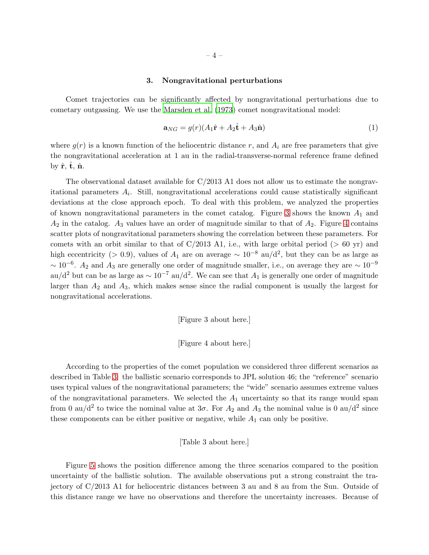#### 3. Nongravitational perturbations

<span id="page-3-1"></span>Comet trajectories can be significantly affected by nongravitational perturbations due to cometary outgassing. We use the [Marsden et al. \(1973](#page-9-1)) comet nongravitational model:

<span id="page-3-0"></span>
$$
\mathbf{a}_{NG} = g(r)(A_1\hat{\mathbf{r}} + A_2\hat{\mathbf{t}} + A_3\hat{\mathbf{n}})
$$
(1)

where  $g(r)$  is a known function of the heliocentric distance r, and  $A_i$  are free parameters that give the nongravitational acceleration at 1 au in the radial-transverse-normal reference frame defined by  $\hat{\mathbf{r}}$ ,  $\hat{\mathbf{t}}$ ,  $\hat{\mathbf{n}}$ .

The observational dataset available for C/2013 A1 does not allow us to estimate the nongravitational parameters  $A_i$ . Still, nongravitational accelerations could cause statistically significant deviations at the close approach epoch. To deal with this problem, we analyzed the properties of known nongravitational parameters in the comet catalog. Figure [3](#page-15-0) shows the known  $A_1$  and  $A_2$  in the catalog.  $A_3$  values have an order of magnitude similar to that of  $A_2$ . Figure [4](#page-16-0) contains scatter plots of nongravitational parameters showing the correlation between these parameters. For comets with an orbit similar to that of  $C/2013$  A1, i.e., with large orbital period ( $> 60$  yr) and high eccentricity (> 0.9), values of  $A_1$  are on average  $\sim 10^{-8}$  au/d<sup>2</sup>, but they can be as large as  $\sim 10^{-6}$ .  $A_2$  and  $A_3$  are generally one order of magnitude smaller, i.e., on average they are  $\sim 10^{-9}$ au/d<sup>2</sup> but can be as large as  $\sim 10^{-7}$  au/d<sup>2</sup>. We can see that  $A_1$  is generally one order of magnitude larger than  $A_2$  and  $A_3$ , which makes sense since the radial component is usually the largest for nongravitational accelerations.

## [Figure 3 about here.]

## [Figure 4 about here.]

According to the properties of the comet population we considered three different scenarios as described in Table [3:](#page-29-0) the ballistic scenario corresponds to JPL solution 46; the "reference" scenario uses typical values of the nongravitational parameters; the "wide" scenario assumes extreme values of the nongravitational parameters. We selected the  $A_1$  uncertainty so that its range would span from 0 au/d<sup>2</sup> to twice the nominal value at  $3\sigma$ . For  $A_2$  and  $A_3$  the nominal value is 0 au/d<sup>2</sup> since these components can be either positive or negative, while  $A_1$  can only be positive.

## [Table 3 about here.]

Figure [5](#page-17-0) shows the position difference among the three scenarios compared to the position uncertainty of the ballistic solution. The available observations put a strong constraint the trajectory of C/2013 A1 for heliocentric distances between 3 au and 8 au from the Sun. Outside of this distance range we have no observations and therefore the uncertainty increases. Because of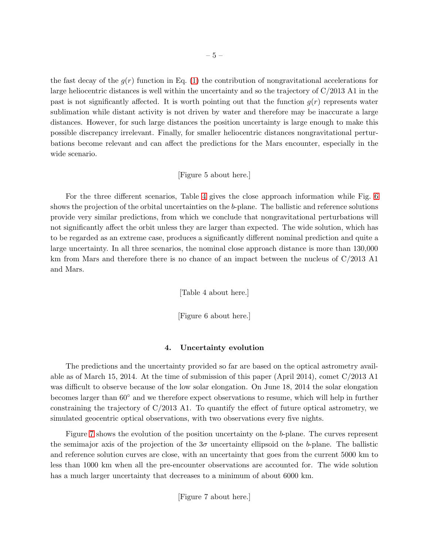the fast decay of the  $g(r)$  function in Eq. [\(1\)](#page-3-0) the contribution of nongravitational accelerations for large heliocentric distances is well within the uncertainty and so the trajectory of C/2013 A1 in the past is not significantly affected. It is worth pointing out that the function  $g(r)$  represents water sublimation while distant activity is not driven by water and therefore may be inaccurate a large distances. However, for such large distances the position uncertainty is large enough to make this possible discrepancy irrelevant. Finally, for smaller heliocentric distances nongravitational perturbations become relevant and can affect the predictions for the Mars encounter, especially in the wide scenario.

# [Figure 5 about here.]

For the three different scenarios, Table [4](#page-30-0) gives the close approach information while Fig. [6](#page-18-0) shows the projection of the orbital uncertainties on the b-plane. The ballistic and reference solutions provide very similar predictions, from which we conclude that nongravitational perturbations will not significantly affect the orbit unless they are larger than expected. The wide solution, which has to be regarded as an extreme case, produces a significantly different nominal prediction and quite a large uncertainty. In all three scenarios, the nominal close approach distance is more than 130,000 km from Mars and therefore there is no chance of an impact between the nucleus of C/2013 A1 and Mars.

[Table 4 about here.]

[Figure 6 about here.]

## 4. Uncertainty evolution

The predictions and the uncertainty provided so far are based on the optical astrometry available as of March 15, 2014. At the time of submission of this paper (April 2014), comet C/2013 A1 was difficult to observe because of the low solar elongation. On June 18, 2014 the solar elongation becomes larger than 60◦ and we therefore expect observations to resume, which will help in further constraining the trajectory of C/2013 A1. To quantify the effect of future optical astrometry, we simulated geocentric optical observations, with two observations every five nights.

Figure [7](#page-19-0) shows the evolution of the position uncertainty on the b-plane. The curves represent the semimajor axis of the projection of the  $3\sigma$  uncertainty ellipsoid on the b-plane. The ballistic and reference solution curves are close, with an uncertainty that goes from the current 5000 km to less than 1000 km when all the pre-encounter observations are accounted for. The wide solution has a much larger uncertainty that decreases to a minimum of about 6000 km.

[Figure 7 about here.]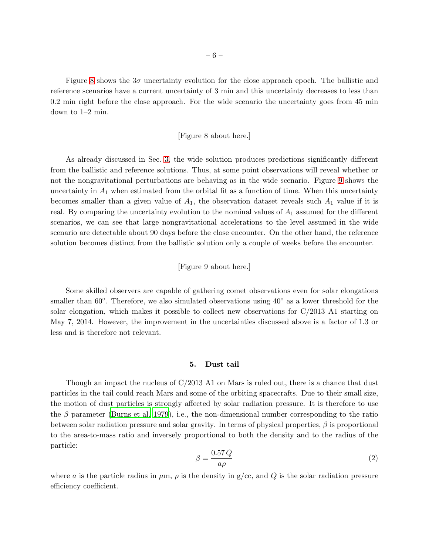Figure [8](#page-20-0) shows the  $3\sigma$  uncertainty evolution for the close approach epoch. The ballistic and reference scenarios have a current uncertainty of 3 min and this uncertainty decreases to less than 0.2 min right before the close approach. For the wide scenario the uncertainty goes from 45 min down to 1–2 min.

#### [Figure 8 about here.]

As already discussed in Sec. [3,](#page-3-1) the wide solution produces predictions significantly different from the ballistic and reference solutions. Thus, at some point observations will reveal whether or not the nongravitational perturbations are behaving as in the wide scenario. Figure [9](#page-21-0) shows the uncertainty in  $A_1$  when estimated from the orbital fit as a function of time. When this uncertainty becomes smaller than a given value of  $A_1$ , the observation dataset reveals such  $A_1$  value if it is real. By comparing the uncertainty evolution to the nominal values of  $A_1$  assumed for the different scenarios, we can see that large nongravitational accelerations to the level assumed in the wide scenario are detectable about 90 days before the close encounter. On the other hand, the reference solution becomes distinct from the ballistic solution only a couple of weeks before the encounter.

# [Figure 9 about here.]

Some skilled observers are capable of gathering comet observations even for solar elongations smaller than  $60°$ . Therefore, we also simulated observations using  $40°$  as a lower threshold for the solar elongation, which makes it possible to collect new observations for C/2013 A1 starting on May 7, 2014. However, the improvement in the uncertainties discussed above is a factor of 1.3 or less and is therefore not relevant.

#### 5. Dust tail

Though an impact the nucleus of  $C/2013$  A1 on Mars is ruled out, there is a chance that dust particles in the tail could reach Mars and some of the orbiting spacecrafts. Due to their small size, the motion of dust particles is strongly affected by solar radiation pressure. It is therefore to use the  $\beta$  parameter [\(Burns et al. 1979\)](#page-9-8), i.e., the non-dimensional number corresponding to the ratio between solar radiation pressure and solar gravity. In terms of physical properties,  $\beta$  is proportional to the area-to-mass ratio and inversely proportional to both the density and to the radius of the particle:

$$
\beta = \frac{0.57 Q}{a \rho} \tag{2}
$$

where a is the particle radius in  $\mu$ m,  $\rho$  is the density in g/cc, and Q is the solar radiation pressure efficiency coefficient.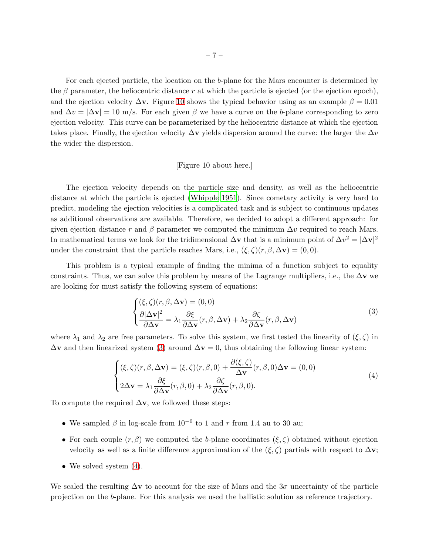For each ejected particle, the location on the b-plane for the Mars encounter is determined by the  $\beta$  parameter, the heliocentric distance r at which the particle is ejected (or the ejection epoch), and the ejection velocity  $\Delta v$ . Figure [10](#page-22-0) shows the typical behavior using as an example  $\beta = 0.01$ and  $\Delta v = |\Delta \mathbf{v}| = 10$  m/s. For each given  $\beta$  we have a curve on the b-plane corresponding to zero ejection velocity. This curve can be parameterized by the heliocentric distance at which the ejection takes place. Finally, the ejection velocity  $\Delta v$  yields dispersion around the curve: the larger the  $\Delta v$ the wider the dispersion.

### [Figure 10 about here.]

The ejection velocity depends on the particle size and density, as well as the heliocentric distance at which the particle is ejected [\(Whipple 1951](#page-10-4)). Since cometary activity is very hard to predict, modeling the ejection velocities is a complicated task and is subject to continuous updates as additional observations are available. Therefore, we decided to adopt a different approach: for given ejection distance r and  $\beta$  parameter we computed the minimum  $\Delta v$  required to reach Mars. In mathematical terms we look for the tridimensional  $\Delta v$  that is a minimum point of  $\Delta v^2 = |\Delta v|^2$ under the constraint that the particle reaches Mars, i.e.,  $(\xi, \zeta)(r, \beta, \Delta \mathbf{v}) = (0, 0)$ .

This problem is a typical example of finding the minima of a function subject to equality constraints. Thus, we can solve this problem by means of the Lagrange multipliers, i.e., the  $\Delta v$  we are looking for must satisfy the following system of equations:

<span id="page-6-0"></span>
$$
\begin{cases} (\xi, \zeta)(r, \beta, \Delta \mathbf{v}) = (0, 0) \\ \frac{\partial |\Delta \mathbf{v}|^2}{\partial \Delta \mathbf{v}} = \lambda_1 \frac{\partial \xi}{\partial \Delta \mathbf{v}}(r, \beta, \Delta \mathbf{v}) + \lambda_2 \frac{\partial \zeta}{\partial \Delta \mathbf{v}}(r, \beta, \Delta \mathbf{v}) \end{cases}
$$
(3)

where  $\lambda_1$  and  $\lambda_2$  are free parameters. To solve this system, we first tested the linearity of  $(\xi, \zeta)$  in  $\Delta$ v and then linearized system [\(3\)](#page-6-0) around  $\Delta$ v = 0, thus obtaining the following linear system:

<span id="page-6-1"></span>
$$
\begin{cases} (\xi,\zeta)(r,\beta,\Delta\mathbf{v}) = (\xi,\zeta)(r,\beta,0) + \frac{\partial(\xi,\zeta)}{\Delta\mathbf{v}}(r,\beta,0)\Delta\mathbf{v} = (0,0) \\ 2\Delta\mathbf{v} = \lambda_1 \frac{\partial\xi}{\partial\Delta\mathbf{v}}(r,\beta,0) + \lambda_2 \frac{\partial\zeta}{\partial\Delta\mathbf{v}}(r,\beta,0). \end{cases}
$$
(4)

To compute the required  $\Delta v$ , we followed these steps:

- We sampled  $\beta$  in log-scale from  $10^{-6}$  to 1 and r from 1.4 au to 30 au;
- For each couple  $(r, \beta)$  we computed the b-plane coordinates  $(\xi, \zeta)$  obtained without ejection velocity as well as a finite difference approximation of the  $(\xi, \zeta)$  partials with respect to  $\Delta v$ ;
- We solved system  $(4)$ .

We scaled the resulting  $\Delta v$  to account for the size of Mars and the 3 $\sigma$  uncertainty of the particle projection on the b-plane. For this analysis we used the ballistic solution as reference trajectory.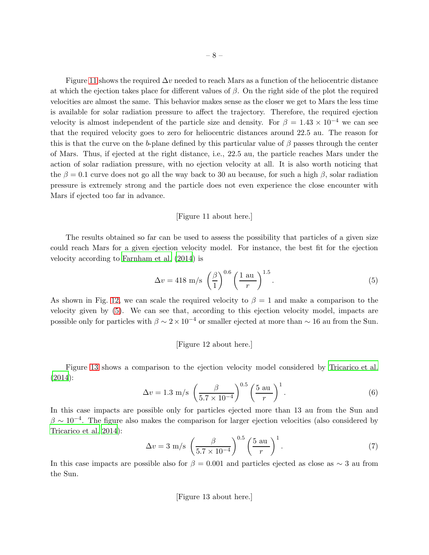Figure [11](#page-23-0) shows the required  $\Delta v$  needed to reach Mars as a function of the heliocentric distance at which the ejection takes place for different values of  $\beta$ . On the right side of the plot the required velocities are almost the same. This behavior makes sense as the closer we get to Mars the less time is available for solar radiation pressure to affect the trajectory. Therefore, the required ejection velocity is almost independent of the particle size and density. For  $\beta = 1.43 \times 10^{-4}$  we can see that the required velocity goes to zero for heliocentric distances around 22.5 au. The reason for this is that the curve on the b-plane defined by this particular value of  $\beta$  passes through the center of Mars. Thus, if ejected at the right distance, i.e., 22.5 au, the particle reaches Mars under the action of solar radiation pressure, with no ejection velocity at all. It is also worth noticing that the  $\beta = 0.1$  curve does not go all the way back to 30 au because, for such a high  $\beta$ , solar radiation pressure is extremely strong and the particle does not even experience the close encounter with Mars if ejected too far in advance.

#### [Figure 11 about here.]

The results obtained so far can be used to assess the possibility that particles of a given size could reach Mars for a given ejection velocity model. For instance, the best fit for the ejection velocity according to [Farnham et al. \(2014\)](#page-9-3) is

<span id="page-7-0"></span>
$$
\Delta v = 418 \text{ m/s} \left(\frac{\beta}{1}\right)^{0.6} \left(\frac{1 \text{ au}}{r}\right)^{1.5}.
$$
 (5)

As shown in Fig. [12,](#page-24-0) we can scale the required velocity to  $\beta = 1$  and make a comparison to the velocity given by [\(5\)](#page-7-0). We can see that, according to this ejection velocity model, impacts are possible only for particles with  $\beta \sim 2 \times 10^{-4}$  or smaller ejected at more than  $\sim 16$  au from the Sun.

#### [Figure 12 about here.]

Figure [13](#page-25-0) shows a comparison to the ejection velocity model considered by [Tricarico et al.](#page-10-1) [\(2014](#page-10-1)):

$$
\Delta v = 1.3 \text{ m/s} \left( \frac{\beta}{5.7 \times 10^{-4}} \right)^{0.5} \left( \frac{5 \text{ au}}{r} \right)^{1}.
$$
 (6)

In this case impacts are possible only for particles ejected more than 13 au from the Sun and  $\beta \sim 10^{-4}$ . The figure also makes the comparison for larger ejection velocities (also considered by [Tricarico et al. 2014](#page-10-1)):

$$
\Delta v = 3 \text{ m/s} \left(\frac{\beta}{5.7 \times 10^{-4}}\right)^{0.5} \left(\frac{5 \text{ au}}{r}\right)^1. \tag{7}
$$

In this case impacts are possible also for  $\beta = 0.001$  and particles ejected as close as ∼ 3 au from the Sun.

[Figure 13 about here.]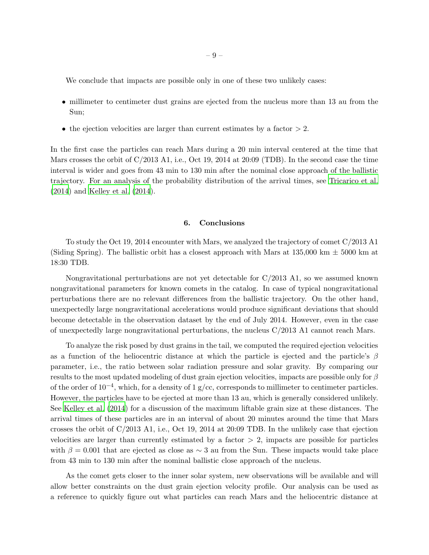We conclude that impacts are possible only in one of these two unlikely cases:

- millimeter to centimeter dust grains are ejected from the nucleus more than 13 au from the Sun;
- the ejection velocities are larger than current estimates by a factor  $> 2$ .

In the first case the particles can reach Mars during a 20 min interval centered at the time that Mars crosses the orbit of  $C/2013$  A1, i.e., Oct 19, 2014 at 20:09 (TDB). In the second case the time interval is wider and goes from 43 min to 130 min after the nominal close approach of the ballistic trajectory. For an analysis of the probability distribution of the arrival times, see [Tricarico et al.](#page-10-1) [\(2014](#page-10-1)) and [Kelley et al. \(2014](#page-9-9)).

## 6. Conclusions

To study the Oct 19, 2014 encounter with Mars, we analyzed the trajectory of comet C/2013 A1 (Siding Spring). The ballistic orbit has a closest approach with Mars at  $135,000 \text{ km } \pm 5000 \text{ km }$  at 18:30 TDB.

Nongravitational perturbations are not yet detectable for C/2013 A1, so we assumed known nongravitational parameters for known comets in the catalog. In case of typical nongravitational perturbations there are no relevant differences from the ballistic trajectory. On the other hand, unexpectedly large nongravitational accelerations would produce significant deviations that should become detectable in the observation dataset by the end of July 2014. However, even in the case of unexpectedly large nongravitational perturbations, the nucleus C/2013 A1 cannot reach Mars.

To analyze the risk posed by dust grains in the tail, we computed the required ejection velocities as a function of the heliocentric distance at which the particle is ejected and the particle's  $\beta$ parameter, i.e., the ratio between solar radiation pressure and solar gravity. By comparing our results to the most updated modeling of dust grain ejection velocities, impacts are possible only for  $\beta$ of the order of  $10^{-4}$ , which, for a density of 1 g/cc, corresponds to millimeter to centimeter particles. However, the particles have to be ejected at more than 13 au, which is generally considered unlikely. See [Kelley et al. \(2014](#page-9-9)) for a discussion of the maximum liftable grain size at these distances. The arrival times of these particles are in an interval of about 20 minutes around the time that Mars crosses the orbit of C/2013 A1, i.e., Oct 19, 2014 at 20:09 TDB. In the unlikely case that ejection velocities are larger than currently estimated by a factor  $> 2$ , impacts are possible for particles with  $\beta = 0.001$  that are ejected as close as ∼ 3 au from the Sun. These impacts would take place from 43 min to 130 min after the nominal ballistic close approach of the nucleus.

As the comet gets closer to the inner solar system, new observations will be available and will allow better constraints on the dust grain ejection velocity profile. Our analysis can be used as a reference to quickly figure out what particles can reach Mars and the heliocentric distance at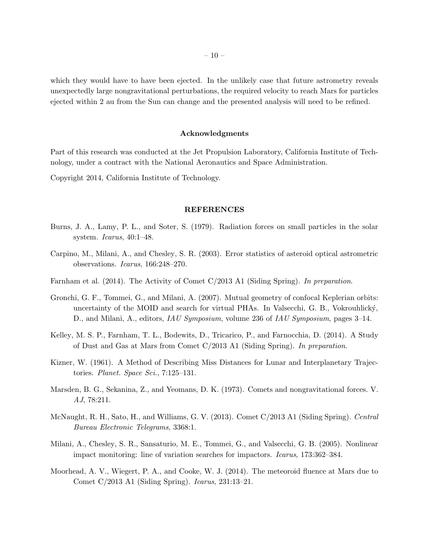which they would have to have been ejected. In the unlikely case that future astrometry reveals unexpectedly large nongravitational perturbations, the required velocity to reach Mars for particles ejected within 2 au from the Sun can change and the presented analysis will need to be refined.

#### Acknowledgments

Part of this research was conducted at the Jet Propulsion Laboratory, California Institute of Technology, under a contract with the National Aeronautics and Space Administration.

Copyright 2014, California Institute of Technology.

### REFERENCES

- <span id="page-9-8"></span>Burns, J. A., Lamy, P. L., and Soter, S. (1979). Radiation forces on small particles in the solar system. *Icarus*, 40:1–48.
- <span id="page-9-4"></span>Carpino, M., Milani, A., and Chesley, S. R. (2003). Error statistics of asteroid optical astrometric observations. *Icarus*, 166:248–270.
- <span id="page-9-3"></span>Farnham et al. (2014). The Activity of Comet C/2013 A1 (Siding Spring). *In preparation*.
- <span id="page-9-5"></span>Gronchi, G. F., Tommei, G., and Milani, A. (2007). Mutual geometry of confocal Keplerian orbits: uncertainty of the MOID and search for virtual PHAs. In Valsecchi, G. B., Vokrouhlický, D., and Milani, A., editors, *IAU Symposium*, volume 236 of *IAU Symposium*, pages 3–14.
- <span id="page-9-9"></span>Kelley, M. S. P., Farnham, T. L., Bodewits, D., Tricarico, P., and Farnocchia, D. (2014). A Study of Dust and Gas at Mars from Comet C/2013 A1 (Siding Spring). *In preparation*.
- <span id="page-9-6"></span>Kizner, W. (1961). A Method of Describing Miss Distances for Lunar and Interplanetary Trajectories. *Planet. Space Sci.*, 7:125–131.
- <span id="page-9-1"></span>Marsden, B. G., Sekanina, Z., and Yeomans, D. K. (1973). Comets and nongravitational forces. V. *AJ*, 78:211.
- <span id="page-9-0"></span>McNaught, R. H., Sato, H., and Williams, G. V. (2013). Comet C/2013 A1 (Siding Spring). *Central Bureau Electronic Telegrams*, 3368:1.
- <span id="page-9-7"></span>Milani, A., Chesley, S. R., Sansaturio, M. E., Tommei, G., and Valsecchi, G. B. (2005). Nonlinear impact monitoring: line of variation searches for impactors. *Icarus*, 173:362–384.
- <span id="page-9-2"></span>Moorhead, A. V., Wiegert, P. A., and Cooke, W. J. (2014). The meteoroid fluence at Mars due to Comet C/2013 A1 (Siding Spring). *Icarus*, 231:13–21.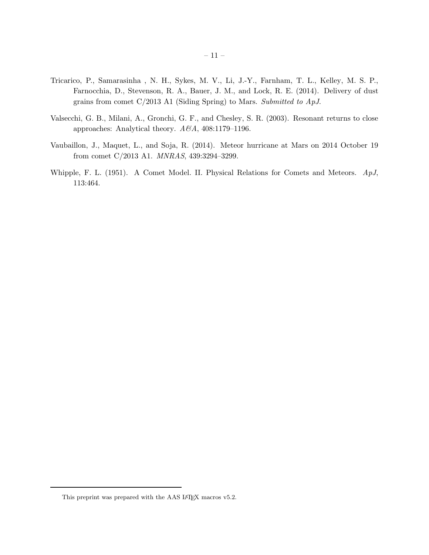- <span id="page-10-1"></span>Tricarico, P., Samarasinha , N. H., Sykes, M. V., Li, J.-Y., Farnham, T. L., Kelley, M. S. P., Farnocchia, D., Stevenson, R. A., Bauer, J. M., and Lock, R. E. (2014). Delivery of dust grains from comet C/2013 A1 (Siding Spring) to Mars. *Submitted to ApJ*.
- <span id="page-10-3"></span>Valsecchi, G. B., Milani, A., Gronchi, G. F., and Chesley, S. R. (2003). Resonant returns to close approaches: Analytical theory. *A&A*, 408:1179–1196.
- <span id="page-10-0"></span>Vaubaillon, J., Maquet, L., and Soja, R. (2014). Meteor hurricane at Mars on 2014 October 19 from comet C/2013 A1. *MNRAS*, 439:3294–3299.
- <span id="page-10-4"></span>Whipple, F. L. (1951). A Comet Model. II. Physical Relations for Comets and Meteors. *ApJ*, 113:464.

<span id="page-10-2"></span>This preprint was prepared with the AAS IATEX macros v5.2.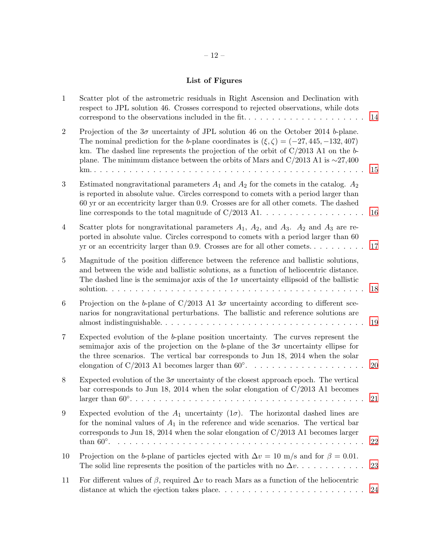# – 12 –

# List of Figures

| $\mathbf{1}$     | Scatter plot of the astrometric residuals in Right Ascension and Declination with<br>respect to JPL solution 46. Crosses correspond to rejected observations, while dots                                                                                                                                                                                                                                         | 14 |
|------------------|------------------------------------------------------------------------------------------------------------------------------------------------------------------------------------------------------------------------------------------------------------------------------------------------------------------------------------------------------------------------------------------------------------------|----|
| $\overline{2}$   | Projection of the $3\sigma$ uncertainty of JPL solution 46 on the October 2014 b-plane.<br>The nominal prediction for the b-plane coordinates is $(\xi, \zeta) = (-27, 445, -132, 407)$<br>km. The dashed line represents the projection of the orbit of $C/2013$ A1 on the b-<br>plane. The minimum distance between the orbits of Mars and $C/2013$ A1 is $\sim$ 27,400                                        | 15 |
| 3                | Estimated nongravitational parameters $A_1$ and $A_2$ for the comets in the catalog. $A_2$<br>is reported in absolute value. Circles correspond to comets with a period larger than<br>60 yr or an eccentricity larger than 0.9. Crosses are for all other comets. The dashed                                                                                                                                    | 16 |
| 4                | Scatter plots for nongravitational parameters $A_1$ , $A_2$ , and $A_3$ . $A_2$ and $A_3$ are re-<br>ported in absolute value. Circles correspond to comets with a period larger than 60<br>yr or an eccentricity larger than 0.9. Crosses are for all other comets                                                                                                                                              | 17 |
| 5                | Magnitude of the position difference between the reference and ballistic solutions,<br>and between the wide and ballistic solutions, as a function of heliocentric distance.<br>The dashed line is the semimajor axis of the $1\sigma$ uncertainty ellipsoid of the ballistic<br>solution<br>.                                                                                                                   | 18 |
| 6                | Projection on the b-plane of C/2013 A1 $3\sigma$ uncertainty according to different sce-<br>narios for nongravitational perturbations. The ballistic and reference solutions are                                                                                                                                                                                                                                 | 19 |
| $\overline{7}$   | Expected evolution of the b-plane position uncertainty. The curves represent the<br>semimajor axis of the projection on the b-plane of the $3\sigma$ uncertainty ellipse for<br>the three scenarios. The vertical bar corresponds to Jun 18, 2014 when the solar                                                                                                                                                 | 20 |
| 8                | Expected evolution of the $3\sigma$ uncertainty of the closest approach epoch. The vertical<br>bar corresponds to Jun 18, 2014 when the solar elongation of $C/2013$ A1 becomes                                                                                                                                                                                                                                  | 21 |
| $\boldsymbol{9}$ | Expected evolution of the $A_1$ uncertainty $(1\sigma)$ . The horizontal dashed lines are<br>for the nominal values of $A_1$ in the reference and wide scenarios. The vertical bar<br>corresponds to Jun 18, 2014 when the solar elongation of $C/2013$ A1 becomes larger<br>than $60^\circ$ .<br><u>. A de la decada de la decada de la decada de la decada de la decada de la decada de la decada de la de</u> | 22 |
| 10               | Projection on the b-plane of particles ejected with $\Delta v = 10$ m/s and for $\beta = 0.01$ .<br>The solid line represents the position of the particles with no $\Delta v$                                                                                                                                                                                                                                   | 23 |
| 11               | For different values of $\beta$ , required $\Delta v$ to reach Mars as a function of the heliocentric                                                                                                                                                                                                                                                                                                            | 24 |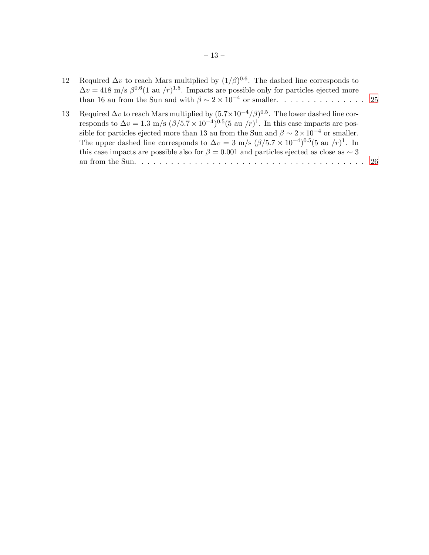- 12 Required  $\Delta v$  to reach Mars multiplied by  $(1/\beta)^{0.6}$ . The dashed line corresponds to  $\Delta v = 418$  m/s  $\beta^{0.6}$ (1 au /r)<sup>1.5</sup>. Impacts are possible only for particles ejected more than 16 au from the Sun and with  $\beta \sim 2 \times 10^{-4}$  or smaller. . . . . . . . . . . . . . . [25](#page-24-0)
- 13 Required  $\Delta v$  to reach Mars multiplied by  $(5.7 \times 10^{-4}/\beta)^{0.5}$ . The lower dashed line corresponds to  $\Delta v = 1.3$  m/s  $(\beta/5.7 \times 10^{-4})^{0.5}$  (5 au /r)<sup>1</sup>. In this case impacts are possible for particles ejected more than 13 au from the Sun and  $\beta \sim 2 \times 10^{-4}$  or smaller. The upper dashed line corresponds to  $\Delta v = 3$  m/s  $(\beta/5.7 \times 10^{-4})^{0.5}$  (5 au /r)<sup>1</sup>. In this case impacts are possible also for  $\beta = 0.001$  and particles ejected as close as  $\sim 3$ au from the Sun. . . . . . . . . . . . . . . . . . . . . . . . . . . . . . . . . . . . . . . [26](#page-25-0)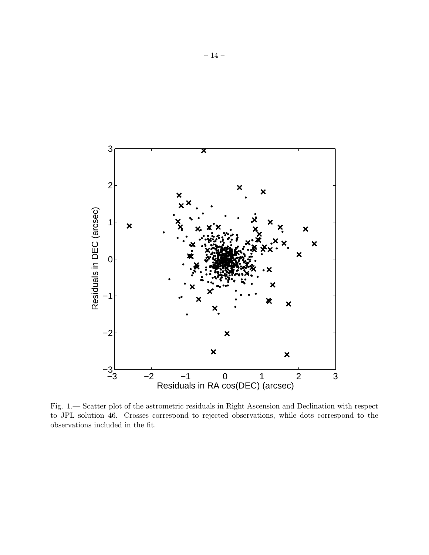

<span id="page-13-0"></span>Fig. 1.— Scatter plot of the astrometric residuals in Right Ascension and Declination with respect to JPL solution 46. Crosses correspond to rejected observations, while dots correspond to the observations included in the fit.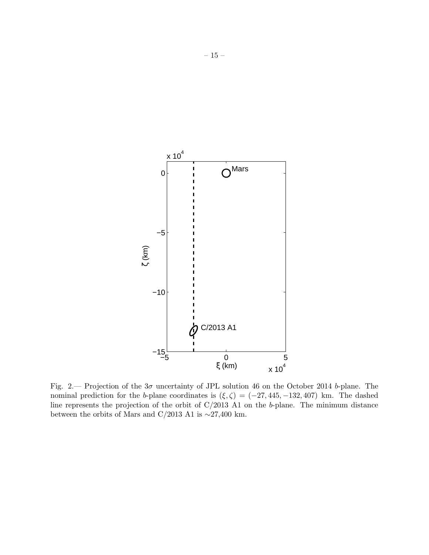

<span id="page-14-0"></span>Fig. 2.— Projection of the  $3\sigma$  uncertainty of JPL solution 46 on the October 2014 b-plane. The nominal prediction for the b-plane coordinates is  $(\xi, \zeta) = (-27, 445, -132, 407)$  km. The dashed line represents the projection of the orbit of  $C/2013$  A1 on the b-plane. The minimum distance between the orbits of Mars and C/2013 A1 is ∼27,400 km.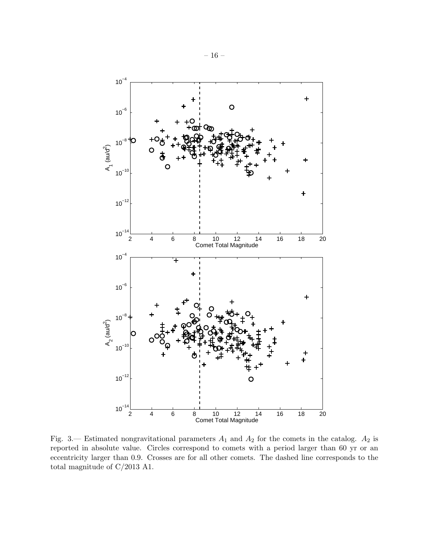

<span id="page-15-0"></span>Fig. 3.— Estimated nongravitational parameters  $A_1$  and  $A_2$  for the comets in the catalog.  $A_2$  is reported in absolute value. Circles correspond to comets with a period larger than 60 yr or an eccentricity larger than 0.9. Crosses are for all other comets. The dashed line corresponds to the total magnitude of C/2013 A1.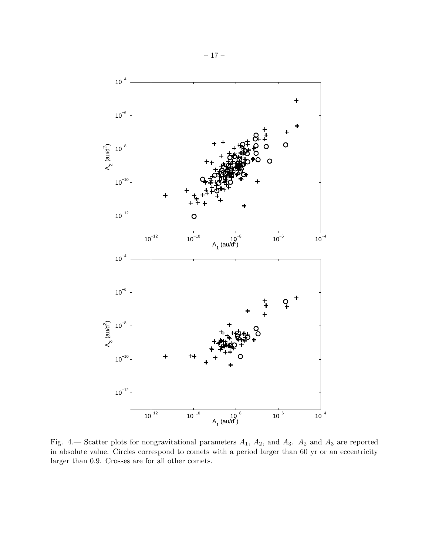

<span id="page-16-0"></span>Fig. 4.— Scatter plots for nongravitational parameters  $A_1$ ,  $A_2$ , and  $A_3$ .  $A_2$  and  $A_3$  are reported in absolute value. Circles correspond to comets with a period larger than 60 yr or an eccentricity larger than 0.9. Crosses are for all other comets.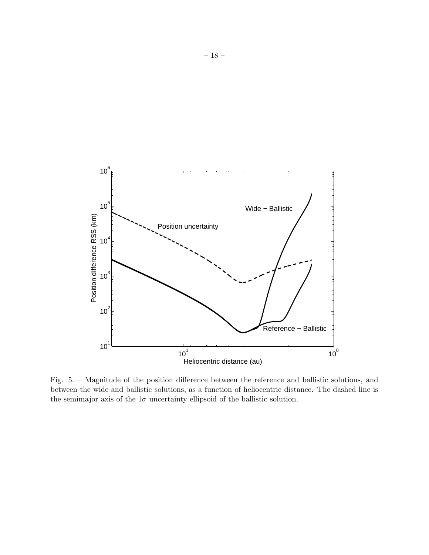

<span id="page-17-0"></span>Fig. 5.— Magnitude of the position difference between the reference and ballistic solutions, and between the wide and ballistic solutions, as a function of heliocentric distance. The dashed line is the semimajor axis of the  $1\sigma$  uncertainty ellipsoid of the ballistic solution.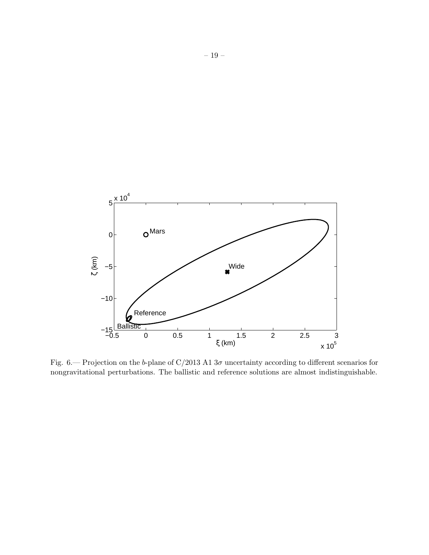

<span id="page-18-0"></span>Fig. 6.— Projection on the b-plane of C/2013 A1  $3\sigma$  uncertainty according to different scenarios for nongravitational perturbations. The ballistic and reference solutions are almost indistinguishable.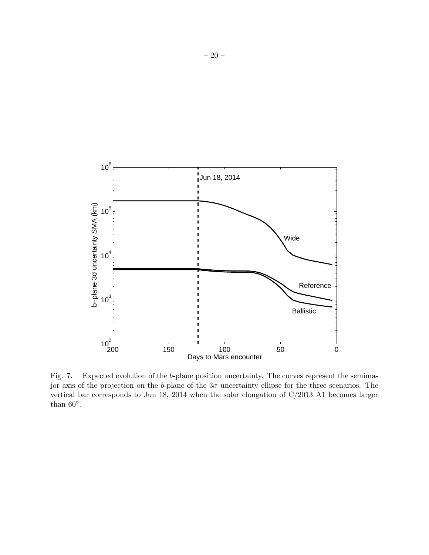

<span id="page-19-0"></span>Fig. 7.— Expected evolution of the b-plane position uncertainty. The curves represent the semimajor axis of the projection on the b-plane of the  $3\sigma$  uncertainty ellipse for the three scenarios. The vertical bar corresponds to Jun 18, 2014 when the solar elongation of C/2013 A1 becomes larger than  $60^\circ$ .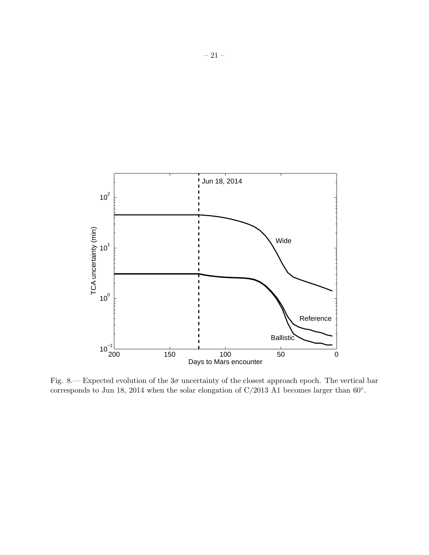

<span id="page-20-0"></span>Fig. 8.— Expected evolution of the  $3\sigma$  uncertainty of the closest approach epoch. The vertical bar corresponds to Jun 18, 2014 when the solar elongation of  $C/2013$  A1 becomes larger than 60°.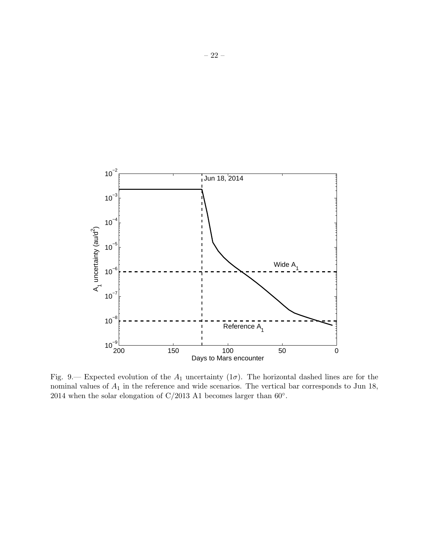

<span id="page-21-0"></span>Fig. 9.— Expected evolution of the  $A_1$  uncertainty  $(1\sigma)$ . The horizontal dashed lines are for the nominal values of  $A_1$  in the reference and wide scenarios. The vertical bar corresponds to Jun 18, 2014 when the solar elongation of  $C/2013$  A1 becomes larger than  $60°$ .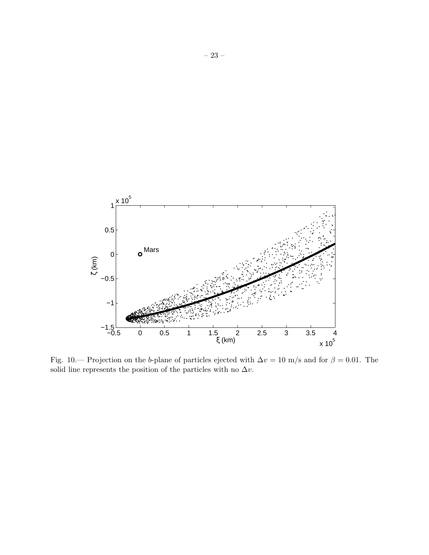

<span id="page-22-0"></span>Fig. 10.— Projection on the b-plane of particles ejected with  $\Delta v = 10$  m/s and for  $\beta = 0.01$ . The solid line represents the position of the particles with no  $\Delta v.$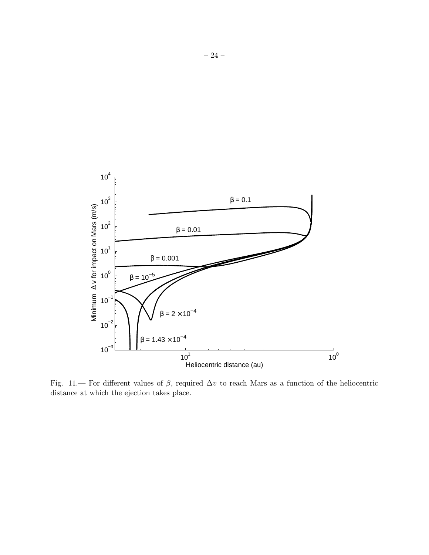

<span id="page-23-0"></span>Fig. 11.— For different values of  $\beta$ , required  $\Delta v$  to reach Mars as a function of the heliocentric distance at which the ejection takes place.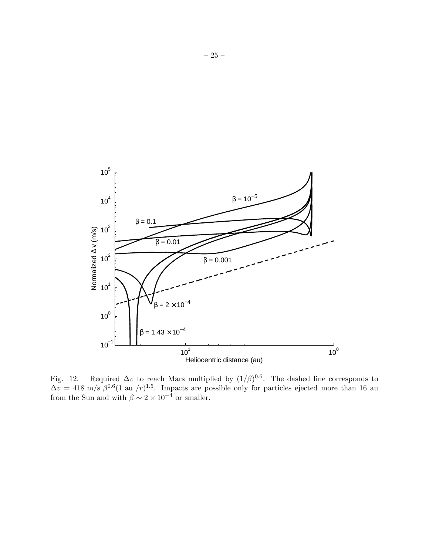

<span id="page-24-0"></span>Fig. 12.— Required  $\Delta v$  to reach Mars multiplied by  $(1/\beta)^{0.6}$ . The dashed line corresponds to  $\Delta v = 418$  m/s  $\beta^{0.6}$ (1 au /r)<sup>1.5</sup>. Impacts are possible only for particles ejected more than 16 au from the Sun and with  $\beta \sim 2 \times 10^{-4}$  or smaller.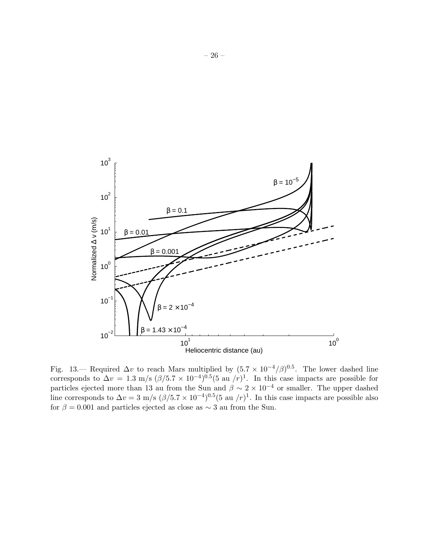

<span id="page-25-0"></span>Fig. 13.— Required  $\Delta v$  to reach Mars multiplied by  $(5.7 \times 10^{-4}/\beta)^{0.5}$ . The lower dashed line corresponds to  $\Delta v = 1.3$  m/s  $(\beta/5.7 \times 10^{-4})^{0.5}$  (5 au /r)<sup>1</sup>. In this case impacts are possible for particles ejected more than 13 au from the Sun and  $\beta \sim 2 \times 10^{-4}$  or smaller. The upper dashed line corresponds to  $\Delta v = 3$  m/s  $(\beta/5.7 \times 10^{-4})^{0.5}$  (5 au /r)<sup>1</sup>. In this case impacts are possible also for  $\beta = 0.001$  and particles ejected as close as ∼ 3 au from the Sun.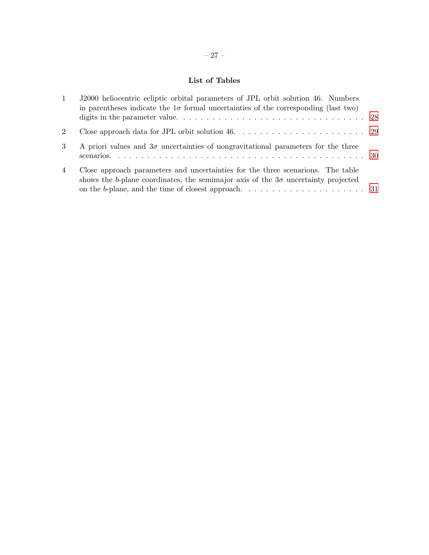# List of Tables

| $\mathbf{1}$   | J2000 heliocentric ecliptic orbital parameters of JPL orbit solution 46. Numbers<br>in parentheses indicate the $1\sigma$ formal uncertainties of the corresponding (last two) |  |
|----------------|--------------------------------------------------------------------------------------------------------------------------------------------------------------------------------|--|
|                |                                                                                                                                                                                |  |
| $\overline{2}$ | Close approach data for JPL orbit solution $46. \ldots \ldots \ldots \ldots \ldots \ldots \ldots \ldots$ 29                                                                    |  |
| 3              | A priori values and $3\sigma$ uncertainties of nongravitational parameters for the three                                                                                       |  |
| 4              | Close approach parameters and uncertainties for the three scenarions. The table<br>shows the b-plane coordinates, the semimajor axis of the $3\sigma$ uncertainty projected    |  |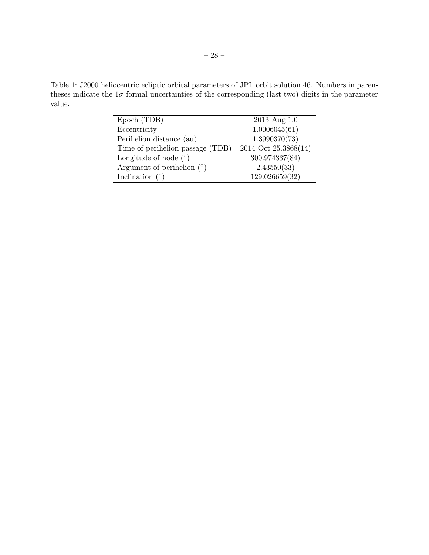<span id="page-27-0"></span>Table 1: J2000 heliocentric ecliptic orbital parameters of JPL orbit solution 46. Numbers in parentheses indicate the  $1\sigma$  formal uncertainties of the corresponding (last two) digits in the parameter value.

| Epoch (TDB)                      | $2013$ Aug $1.0$     |
|----------------------------------|----------------------|
| Eccentricity                     | 1.0006045(61)        |
| Perihelion distance (au)         | 1.3990370(73)        |
| Time of perihelion passage (TDB) | 2014 Oct 25.3868(14) |
| Longitude of node $(°)$          | 300.974337(84)       |
| Argument of perihelion $(°)$     | 2.43550(33)          |
| Inclination (                    | 129.026659(32)       |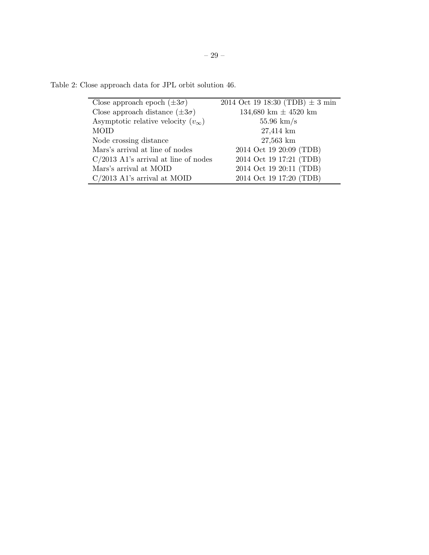<span id="page-28-0"></span>

| Close approach epoch $(\pm 3\sigma)$        | 2014 Oct 19 18:30 (TDB) $\pm$ 3 min |
|---------------------------------------------|-------------------------------------|
| Close approach distance $(\pm 3\sigma)$     | 134,680 km $\pm$ 4520 km            |
| Asymptotic relative velocity $(v_{\infty})$ | $55.96 \text{ km/s}$                |
| <b>MOID</b>                                 | 27,414 km                           |
| Node crossing distance                      | $27,563$ km                         |
| Mars's arrival at line of nodes             | 2014 Oct 19 20:09 (TDB)             |
| $C/2013$ A1's arrival at line of nodes      | 2014 Oct 19 17:21 (TDB)             |
| Mars's arrival at MOID                      | 2014 Oct 19 20:11 (TDB)             |
| $C/2013$ A1's arrival at MOID               | 2014 Oct 19 17:20 (TDB)             |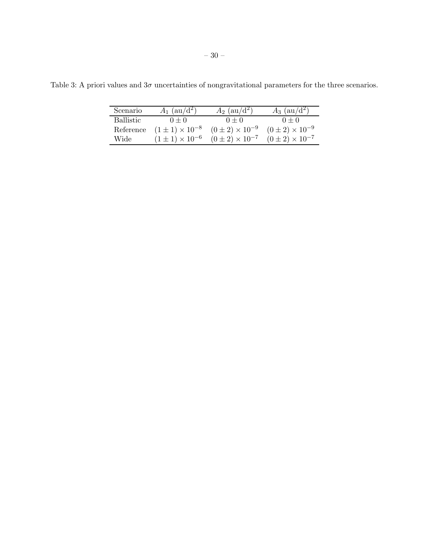| Scenario         | $A_1$ (au/d <sup>2</sup> ) | $A_2$ (au/d <sup>2</sup> ) | $A_3$ (au/d <sup>2</sup> ) |
|------------------|----------------------------|----------------------------|----------------------------|
| <b>Ballistic</b> | $0 + 0$                    | $0 + 0$                    | $0 + 0$                    |
| Reference        | $(1 \pm 1) \times 10^{-8}$ | $(0 \pm 2) \times 10^{-9}$ | $(0 \pm 2) \times 10^{-9}$ |
| Wide             | $(1 \pm 1) \times 10^{-6}$ | $(0 \pm 2) \times 10^{-7}$ | $(0 \pm 2) \times 10^{-7}$ |

<span id="page-29-0"></span>Table 3: A priori values and  $3\sigma$  uncertainties of nongravitational parameters for the three scenarios.